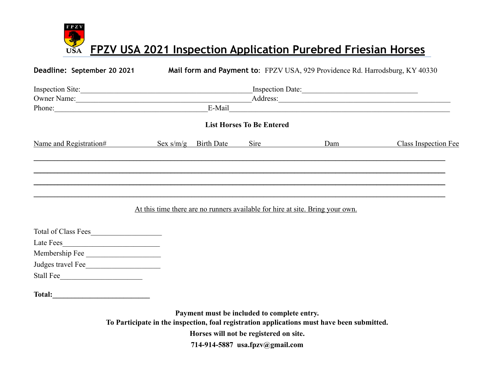$\mathbf{F} \, \mathbf{P} \, \mathbf{Z} \, \mathbf{V}$ **FPZV USA 2021 Inspection Application Purebred Friesian Horses USA** 

**Deadline: September 20 2021 Mail form and Payment to**: FPZV USA, 929 Providence Rd. Harrodsburg, KY 40330

| Inspection Site:       | Inspection Date:                                                                                                                                                                                                                                              |                   |                                  |                                                                               |                             |
|------------------------|---------------------------------------------------------------------------------------------------------------------------------------------------------------------------------------------------------------------------------------------------------------|-------------------|----------------------------------|-------------------------------------------------------------------------------|-----------------------------|
|                        | Address: <u>Contract of the Contract of the Contract of the Contract of the Contract of the Contract of the Contract of the Contract of the Contract of the Contract of the Contract of the Contract of the Contract of the Cont</u><br>Owner Name:<br>E-Mail |                   |                                  |                                                                               |                             |
| Phone:                 |                                                                                                                                                                                                                                                               |                   |                                  |                                                                               |                             |
|                        |                                                                                                                                                                                                                                                               |                   | <b>List Horses To Be Entered</b> |                                                                               |                             |
| Name and Registration# | Sex $s/m/g$                                                                                                                                                                                                                                                   | <b>Birth Date</b> | Sire                             | Dam                                                                           | <b>Class Inspection Fee</b> |
|                        |                                                                                                                                                                                                                                                               |                   |                                  |                                                                               |                             |
|                        |                                                                                                                                                                                                                                                               |                   |                                  |                                                                               |                             |
|                        |                                                                                                                                                                                                                                                               |                   |                                  |                                                                               |                             |
|                        |                                                                                                                                                                                                                                                               |                   |                                  | At this time there are no runners available for hire at site. Bring your own. |                             |

| <b>Total of Class Fees</b> |  |
|----------------------------|--|
| Late Fees                  |  |
| Membership Fee             |  |
| Judges travel Fee          |  |
| Stall Fee                  |  |

Total:

**Payment must be included to complete entry.** 

**To Participate in the inspection, foal registration applications must have been submitted.** 

**Horses will not be registered on site.** 

**714-914-5887 usa.fpzv@gmail.com**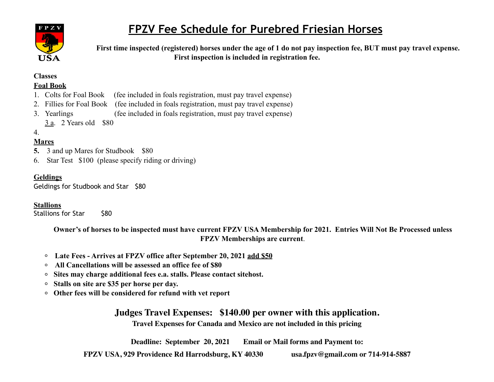

## **FPZV Fee Schedule for Purebred Friesian Horses**

 **First time inspected (registered) horses under the age of 1 do not pay inspection fee, BUT must pay travel expense. First inspection is included in registration fee.** 

# **Classes**

### **Foal Book**

- 1. Colts for Foal Book (fee included in foals registration, must pay travel expense)
- 2. Fillies for Foal Book (fee included in foals registration, must pay travel expense)
- 3. Yearlings (fee included in foals registration, must pay travel expense)
	- 3 a. 2 Years old \$80

### 4.

#### **Mares**

- **5.** 3 and up Mares for Studbook \$80
- 6. Star Test \$100 (please specify riding or driving)

#### **Geldings**

Geldings for Studbook and Star \$80

#### **Stallions**

Stallions for Star \$80

**Owner's of horses to be inspected must have current FPZV USA Membership for 2021. Entries Will Not Be Processed unless FPZV Memberships are current**.

- **Late Fees Arrives at FPZV office after September 20, 2021 add \$50**
- **All Cancellations will be assessed an office fee of \$80**   $\circ$
- **Sites may charge additional fees e.a. stalls. Please contact sitehost.**
- **Stalls on site are \$35 per horse per day.**
- **Other fees will be considered for refund with vet report**

**Judges Travel Expenses: \$140.00 per owner with this application. Travel Expenses for Canada and Mexico are not included in this pricing**

**Deadline: September 20, 2021 Email or Mail forms and Payment to:** 

**FPZV USA, 929 Providence Rd Harrodsburg, KY 40330 [usa.fpzv@gmail.com](mailto:usa.fpzv@gmail.com) or 714-914-5887**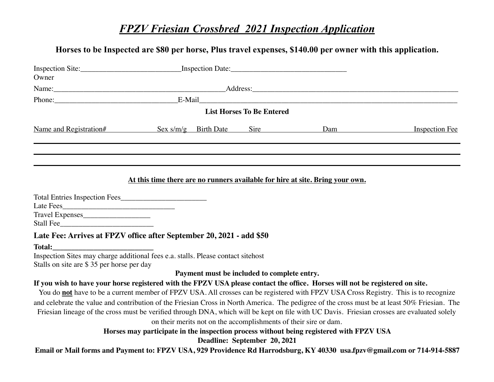### *FPZV Friesian Crossbred 2021 Inspection Application*

### **Horses to be Inspected are \$80 per horse, Plus travel expenses, \$140.00 per owner with this application.**

| Owner                                                                |  |                                  |                                                                               |                    |
|----------------------------------------------------------------------|--|----------------------------------|-------------------------------------------------------------------------------|--------------------|
|                                                                      |  |                                  |                                                                               |                    |
|                                                                      |  |                                  |                                                                               |                    |
|                                                                      |  | <b>List Horses To Be Entered</b> |                                                                               |                    |
| Name and Registration# Sex s/m/g Birth Date Sire                     |  |                                  |                                                                               | Dam Inspection Fee |
|                                                                      |  |                                  |                                                                               |                    |
|                                                                      |  |                                  | At this time there are no runners available for hire at site. Bring your own. |                    |
|                                                                      |  |                                  |                                                                               |                    |
| Travel Expenses<br>Stall Fee                                         |  |                                  |                                                                               |                    |
| Late Fee: Arrives at FPZV office after September 20, 2021 - add \$50 |  |                                  |                                                                               |                    |
|                                                                      |  |                                  |                                                                               |                    |

Inspection Sites may charge additional fees e.a. stalls. Please contact sitehost Stalls on site are \$ 35 per horse per day

**Payment must be included to complete entry.** 

#### **If you wish to have your horse registered with the FPZV USA please contact the office. Horses will not be registered on site.**

You do **not** have to be a current member of FPZV USA. All crosses can be registered with FPZV USA Cross Registry. This is to recognize and celebrate the value and contribution of the Friesian Cross in North America. The pedigree of the cross must be at least 50% Friesian. The Friesian lineage of the cross must be verified through DNA, which will be kept on file with UC Davis. Friesian crosses are evaluated solely

on their merits not on the accomplishments of their sire or dam.

**Horses may participate in the inspection process without being registered with FPZV USA** 

**Deadline: September 20, 2021** 

**Email or Mail forms and Payment to: FPZV USA, 929 Providence Rd Harrodsburg, KY 40330 [usa.fpzv@gmail.com](mailto:usa.fpzv@gmail.com) or 714-914-5887**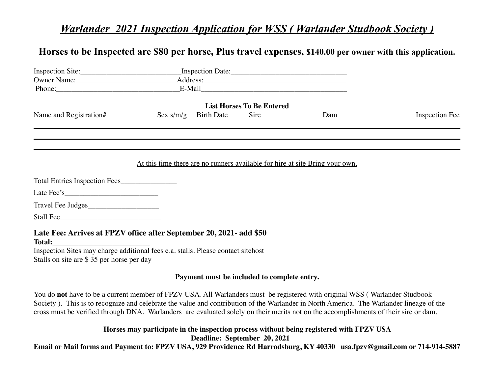### *Warlander 2021 Inspection Application for WSS ( Warlander Studbook Society )*

### **Horses to be Inspected are \$80 per horse, Plus travel expenses, \$140.00 per owner with this application.**

|                                                                                                                               |  |                           | <b>List Horses To Be Entered</b>                                                                                                                                                                                               |                                                                                                                                                                                                                                |                       |
|-------------------------------------------------------------------------------------------------------------------------------|--|---------------------------|--------------------------------------------------------------------------------------------------------------------------------------------------------------------------------------------------------------------------------|--------------------------------------------------------------------------------------------------------------------------------------------------------------------------------------------------------------------------------|-----------------------|
| Name and Registration#                                                                                                        |  | $Sex \, s/m/g$ Birth Date | Sire is not a set of the set of the set of the set of the set of the set of the set of the set of the set of the set of the set of the set of the set of the set of the set of the set of the set of the set of the set of the | Dam and the same of the same of the same of the same of the same of the same of the same of the same of the same of the same of the same of the same of the same of the same of the same of the same of the same of the same o | <b>Inspection Fee</b> |
|                                                                                                                               |  |                           |                                                                                                                                                                                                                                |                                                                                                                                                                                                                                |                       |
|                                                                                                                               |  |                           |                                                                                                                                                                                                                                |                                                                                                                                                                                                                                |                       |
|                                                                                                                               |  |                           |                                                                                                                                                                                                                                | At this time there are no runners available for hire at site Bring your own.                                                                                                                                                   |                       |
| Total Entries Inspection Fees                                                                                                 |  |                           |                                                                                                                                                                                                                                |                                                                                                                                                                                                                                |                       |
|                                                                                                                               |  |                           |                                                                                                                                                                                                                                |                                                                                                                                                                                                                                |                       |
|                                                                                                                               |  |                           |                                                                                                                                                                                                                                |                                                                                                                                                                                                                                |                       |
|                                                                                                                               |  |                           |                                                                                                                                                                                                                                |                                                                                                                                                                                                                                |                       |
| Late Fee: Arrives at FPZV office after September 20, 2021- add \$50                                                           |  |                           |                                                                                                                                                                                                                                |                                                                                                                                                                                                                                |                       |
| Inspection Sites may charge additional fees e.a. stalls. Please contact sitehost<br>Stalls on site are \$35 per horse per day |  |                           |                                                                                                                                                                                                                                |                                                                                                                                                                                                                                |                       |
|                                                                                                                               |  |                           | Payment must be included to complete entry.                                                                                                                                                                                    |                                                                                                                                                                                                                                |                       |
| You do not have to be a current member of FPZV USA. All Warlanders must be registered with original WSS (Warlander Studbook   |  |                           |                                                                                                                                                                                                                                |                                                                                                                                                                                                                                |                       |

do not have to be a current member of FPZV USA. All Warlanders must be registered with original WSS (Warlander Studbook Society ). This is to recognize and celebrate the value and contribution of the Warlander in North America. The Warlander lineage of the cross must be verified through DNA. Warlanders are evaluated solely on their merits not on the accomplishments of their sire or dam.

> **Horses may participate in the inspection process without being registered with FPZV USA Deadline: September 20, 2021**

**Email or Mail forms and Payment to: FPZV USA, 929 Providence Rd Harrodsburg, KY 40330 [usa.fpzv@gmail.com](mailto:usa.fpzv@gmail.com) or 714-914-5887**